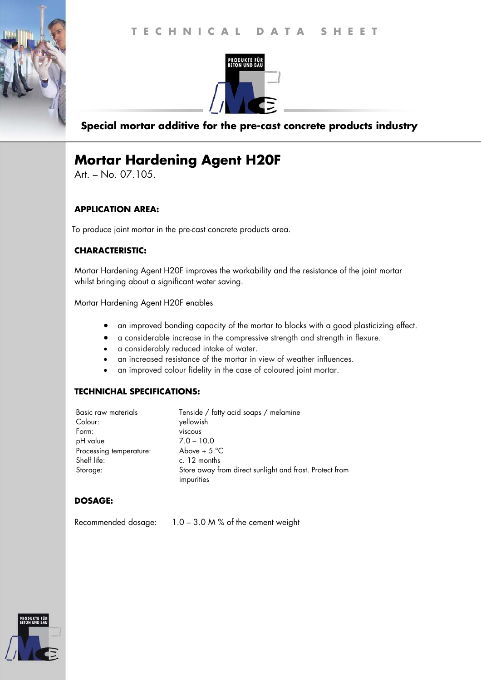

## **Special mortar additive for the pre-cast concrete products industry**

# **Mortar Hardening Agent H20F**

Art. – No. 07.105.

#### **APPLICATION AREA:**

To produce joint mortar in the pre-cast concrete products area.

### **CHARACTERISTIC:**

Mortar Hardening Agent H20F improves the workability and the resistance of the joint mortar whilst bringing about a significant water saving.

Mortar Hardening Agent H20F enables

- an improved bonding capacity of the mortar to blocks with a good plasticizing effect.
- a considerable increase in the compressive strength and strength in flexure.
- a considerably reduced intake of water.
- an increased resistance of the mortar in view of weather influences.
- an improved colour fidelity in the case of coloured joint mortar.

### **TECHNICHAL SPECIFICATIONS:**

| Basic raw materials     | Tenside / fatty acid soaps / melamine                   |
|-------------------------|---------------------------------------------------------|
| Colour:                 | yellowish                                               |
| Form:                   | viscous                                                 |
| pH value                | $7.0 - 10.0$                                            |
| Processing temperature: | Above + $5^{\circ}$ C                                   |
| Shelf life:             | c. 12 months                                            |
| Storage:                | Store away from direct sunlight and frost. Protect from |
|                         | impurities                                              |

### **DOSAGE:**

Recommended dosage: 1.0 – 3.0 M % of the cement weight